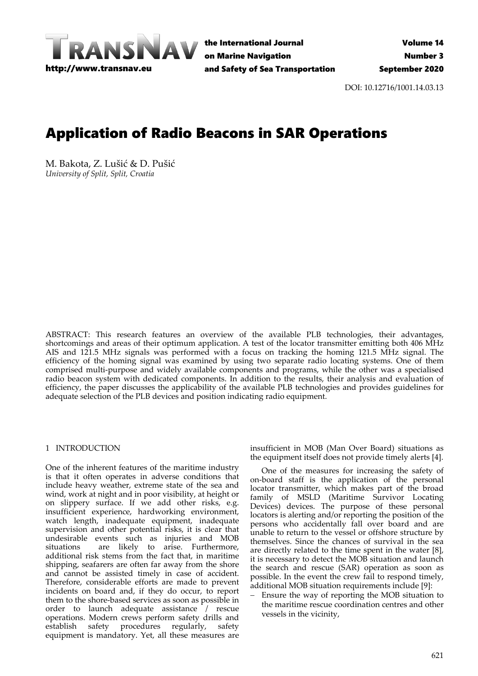

the International Journal on Marine Navigation and Safety of Sea Transportation

DOI: 10.12716/1001.14.03.13

# Application of Radio Beacons in SAR Operations

M. Bakota, Z. Lušić & D. Pušić *University of Split, Split, Croatia*

ABSTRACT: This research features an overview of the available PLB technologies, their advantages, shortcomings and areas of their optimum application. A test of the locator transmitter emitting both 406 MHz AIS and 121.5 MHz signals was performed with a focus on tracking the homing 121.5 MHz signal. The efficiency of the homing signal was examined by using two separate radio locating systems. One of them comprised multi-purpose and widely available components and programs, while the other was a specialised radio beacon system with dedicated components. In addition to the results, their analysis and evaluation of efficiency, the paper discusses the applicability of the available PLB technologies and provides guidelines for adequate selection of the PLB devices and position indicating radio equipment.

#### 1 INTRODUCTION

One of the inherent features of the maritime industry is that it often operates in adverse conditions that include heavy weather, extreme state of the sea and wind, work at night and in poor visibility, at height or on slippery surface. If we add other risks, e.g. insufficient experience, hardworking environment, watch length, inadequate equipment, inadequate supervision and other potential risks, it is clear that undesirable events such as injuries and MOB situations are likely to arise. Furthermore, additional risk stems from the fact that, in maritime shipping, seafarers are often far away from the shore and cannot be assisted timely in case of accident. Therefore, considerable efforts are made to prevent incidents on board and, if they do occur, to report them to the shore-based services as soon as possible in order to launch adequate assistance / rescue operations. Modern crews perform safety drills and establish safety procedures regularly, safety equipment is mandatory. Yet, all these measures are

insufficient in MOB (Man Over Board) situations as the equipment itself does not provide timely alerts [4].

One of the measures for increasing the safety of on-board staff is the application of the personal locator transmitter, which makes part of the broad family of MSLD (Maritime Survivor Locating Devices) devices. The purpose of these personal locators is alerting and/or reporting the position of the persons who accidentally fall over board and are unable to return to the vessel or offshore structure by themselves. Since the chances of survival in the sea are directly related to the time spent in the water [8], it is necessary to detect the MOB situation and launch the search and rescue (SAR) operation as soon as possible. In the event the crew fail to respond timely, additional MOB situation requirements include [9]:

Ensure the way of reporting the MOB situation to the maritime rescue coordination centres and other vessels in the vicinity,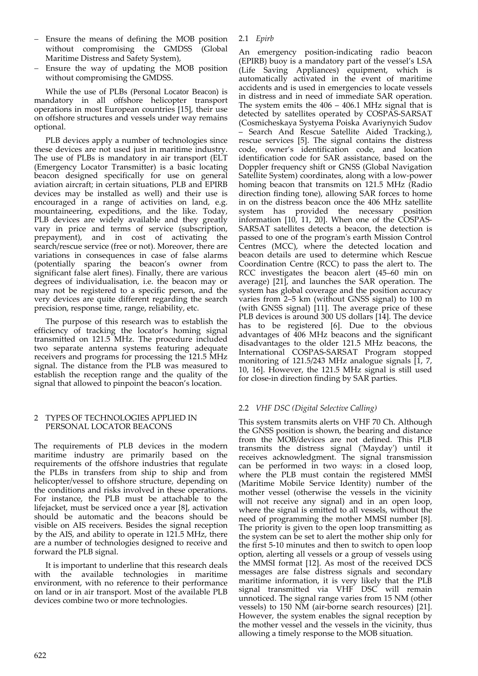- − Ensure the means of defining the MOB position without compromising the GMDSS (Global Maritime Distress and Safety System),
- − Ensure the way of updating the MOB position without compromising the GMDSS.

While the use of PLBs (Personal Locator Beacon) is mandatory in all offshore helicopter transport operations in most European countries [15], their use on offshore structures and vessels under way remains optional.

PLB devices apply a number of technologies since these devices are not used just in maritime industry. The use of PLBs is mandatory in air transport (ELT (Emergency Locator Transmitter) is a basic locating beacon designed specifically for use on general aviation aircraft; in certain situations, PLB and EPIRB devices may be installed as well) and their use is encouraged in a range of activities on land, e.g. mountaineering, expeditions, and the like. Today, PLB devices are widely available and they greatly vary in price and terms of service (subscription, prepayment), and in cost of activating the search/rescue service (free or not). Moreover, there are variations in consequences in case of false alarms (potentially sparing the beacon's owner from significant false alert fines). Finally, there are various degrees of individualisation, i.e. the beacon may or may not be registered to a specific person, and the very devices are quite different regarding the search precision, response time, range, reliability, etc.

The purpose of this research was to establish the efficiency of tracking the locator's homing signal transmitted on 121.5 MHz. The procedure included two separate antenna systems featuring adequate receivers and programs for processing the 121.5 MHz signal. The distance from the PLB was measured to establish the reception range and the quality of the signal that allowed to pinpoint the beacon's location.

#### 2 TYPES OF TECHNOLOGIES APPLIED IN PERSONAL LOCATOR BEACONS

The requirements of PLB devices in the modern maritime industry are primarily based on the requirements of the offshore industries that regulate the PLBs in transfers from ship to ship and from helicopter/vessel to offshore structure, depending on the conditions and risks involved in these operations. For instance, the PLB must be attachable to the lifejacket, must be serviced once a year [8], activation should be automatic and the beacons should be visible on AIS receivers. Besides the signal reception by the AIS, and ability to operate in 121.5 MHz, there are a number of technologies designed to receive and forward the PLB signal.

It is important to underline that this research deals with the available technologies in maritime environment, with no reference to their performance on land or in air transport. Most of the available PLB devices combine two or more technologies.

# 2.1 *Epirb*

An emergency position-indicating radio beacon (EPIRB) buoy is a mandatory part of the vessel's LSA (Life Saving Appliances) equipment, which is automatically activated in the event of maritime accidents and is used in emergencies to locate vessels in distress and in need of immediate SAR operation. The system emits the 406 – 406.1 MHz signal that is detected by satellites operated by COSPAS-SARSAT (Cosmicheskaya Systyema Poiska Avariynyich Sudov – Search And Rescue Satellite Aided Tracking.), rescue services [5]. The signal contains the distress code, owner's identification code, and location identification code for SAR assistance, based on the Doppler frequency shift or GNSS (Global Navigation Satellite System) coordinates, along with a low-power homing beacon that transmits on 121.5 MHz (Radio direction finding tone), allowing SAR forces to home in on the distress beacon once the 406 MHz satellite system has provided the necessary position information [10, 11, 20]. When one of the COSPAS-SARSAT satellites detects a beacon, the detection is passed to one of the program's earth Mission Control Centres (MCC), where the detected location and beacon details are used to determine which Rescue Coordination Centre (RCC) to pass the alert to. The RCC investigates the beacon alert (45–60 min on average) [21], and launches the SAR operation. The system has global coverage and the position accuracy varies from 2–5 km (without GNSS signal) to 100 m (with GNSS signal) [11]. The average price of these PLB devices is around 300 US dollars [14]. The device has to be registered [6]. Due to the obvious advantages of 406 MHz beacons and the significant disadvantages to the older 121.5 MHz beacons, the International COSPAS-SARSAT Program stopped monitoring of 121.5/243 MHz analogue signals  $\overline{11}$ , 7, 10, 16]. However, the 121.5 MHz signal is still used for close-in direction finding by SAR parties.

# 2.2 *VHF DSC (Digital Selective Calling)*

This system transmits alerts on VHF 70 Ch. Although the GNSS position is shown, the bearing and distance from the MOB/devices are not defined. This PLB transmits the distress signal ('Mayday') until it receives acknowledgment. The signal transmission can be performed in two ways: in a closed loop, where the PLB must contain the registered MMSI (Maritime Mobile Service Identity) number of the mother vessel (otherwise the vessels in the vicinity will not receive any signal) and in an open loop, where the signal is emitted to all vessels, without the need of programming the mother MMSI number [8]. The priority is given to the open loop transmitting as the system can be set to alert the mother ship only for the first 5-10 minutes and then to switch to open loop option, alerting all vessels or a group of vessels using the MMSI format [12]. As most of the received DCS messages are false distress signals and secondary maritime information, it is very likely that the PLB signal transmitted via VHF DSC will remain unnoticed. The signal range varies from 15 NM (other vessels) to 150 NM (air-borne search resources) [21]. However, the system enables the signal reception by the mother vessel and the vessels in the vicinity, thus allowing a timely response to the MOB situation.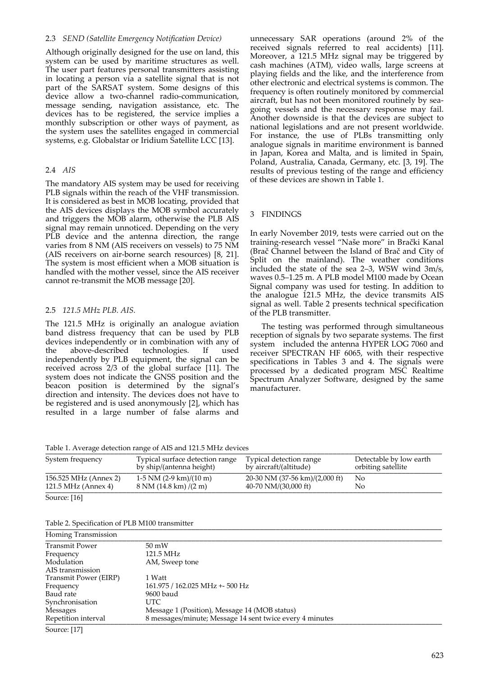#### 2.3 *SEND (Satellite Emergency Notification Device)*

Although originally designed for the use on land, this system can be used by maritime structures as well. The user part features personal transmitters assisting in locating a person via a satellite signal that is not part of the SARSAT system. Some designs of this device allow a two-channel radio-communication, message sending, navigation assistance, etc. The devices has to be registered, the service implies a monthly subscription or other ways of payment, as the system uses the satellites engaged in commercial systems, e.g. Globalstar or Iridium Satellite LCC [13].

#### 2.4 *AIS*

The mandatory AIS system may be used for receiving PLB signals within the reach of the VHF transmission. It is considered as best in MOB locating, provided that the AIS devices displays the MOB symbol accurately and triggers the MOB alarm, otherwise the PLB AIS signal may remain unnoticed. Depending on the very PLB device and the antenna direction, the range varies from 8 NM (AIS receivers on vessels) to 75 NM (AIS receivers on air-borne search resources) [8, 21]. The system is most efficient when a MOB situation is handled with the mother vessel, since the AIS receiver cannot re-transmit the MOB message [20].

#### 2.5 *121.5 MHz PLB. AIS.*

The 121.5 MHz is originally an analogue aviation band distress frequency that can be used by PLB devices independently or in combination with any of the above-described technologies. If used independently by PLB equipment, the signal can be received across 2/3 of the global surface [11]. The system does not indicate the GNSS position and the beacon position is determined by the signal's direction and intensity. The devices does not have to be registered and is used anonymously [2], which has resulted in a large number of false alarms and unnecessary SAR operations (around 2% of the received signals referred to real accidents) [11]. Moreover, a 121.5 MHz signal may be triggered by cash machines (ATM), video walls, large screens at playing fields and the like, and the interference from other electronic and electrical systems is common. The frequency is often routinely monitored by commercial aircraft, but has not been monitored routinely by seagoing vessels and the necessary response may fail. Another downside is that the devices are subject to national legislations and are not present worldwide. For instance, the use of PLBs transmitting only analogue signals in maritime environment is banned in Japan, Korea and Malta, and is limited in Spain, Poland, Australia, Canada, Germany, etc. [3, 19]. The results of previous testing of the range and efficiency of these devices are shown in Table 1.

#### 3 FINDINGS

In early November 2019, tests were carried out on the training-research vessel "Naše more" in Brački Kanal (Brač Channel between the Island of Brač and City of Split on the mainland). The weather conditions included the state of the sea 2–3, WSW wind 3m/s, waves 0.5–1.25 m. A PLB model M100 made by Ocean Signal company was used for testing. In addition to the analogue 121.5 MHz, the device transmits AIS signal as well. Table 2 presents technical specification of the PLB transmitter.

The testing was performed through simultaneous reception of signals by two separate systems. The first system included the antenna HYPER LOG 7060 and receiver SPECTRAN HF 6065, with their respective specifications in Tables 3 and 4. The signals were processed by a dedicated program MSC Realtime Spectrum Analyzer Software, designed by the same manufacturer.

Table 1. Average detection range of AIS and 121.5 MHz devices

| System frequency      | Typical surface detection range<br>by ship/(antenna height) | Typical detection range<br>by aircraft/(altitude) | Detectable by low earth<br>orbiting satellite |
|-----------------------|-------------------------------------------------------------|---------------------------------------------------|-----------------------------------------------|
| 156.525 MHz (Annex 2) | $1-5$ NM (2-9 km)/(10 m)                                    | 20-30 NM $(37-56 \text{ km})/(2,000 \text{ ft})$  | Nο                                            |
| 121.5 MHz (Annex 4)   | $8 \text{ NM}$ (14.8 km) /(2 m)                             | 40-70 NM/(30,000 ft)                              | No                                            |
| Source: [16]          |                                                             |                                                   |                                               |

Table 2. Specification of PLB M100 transmitter

| Homing Transmission   |                                                          |  |
|-----------------------|----------------------------------------------------------|--|
| <b>Transmit Power</b> | $50 \text{ mW}$                                          |  |
| Frequency             | 121.5 MHz                                                |  |
| Modulation            | AM, Sweep tone                                           |  |
| AIS transmission      |                                                          |  |
| Transmit Power (EIRP) | 1 Watt                                                   |  |
| Frequency             | 161.975 / 162.025 MHz +- 500 Hz                          |  |
| Baud rate             | 9600 baud                                                |  |
| Synchronisation       | UTC.                                                     |  |
| <b>Messages</b>       | Message 1 (Position), Message 14 (MOB status)            |  |
| Repetition interval   | 8 messages/minute; Message 14 sent twice every 4 minutes |  |
| Source: [17]          |                                                          |  |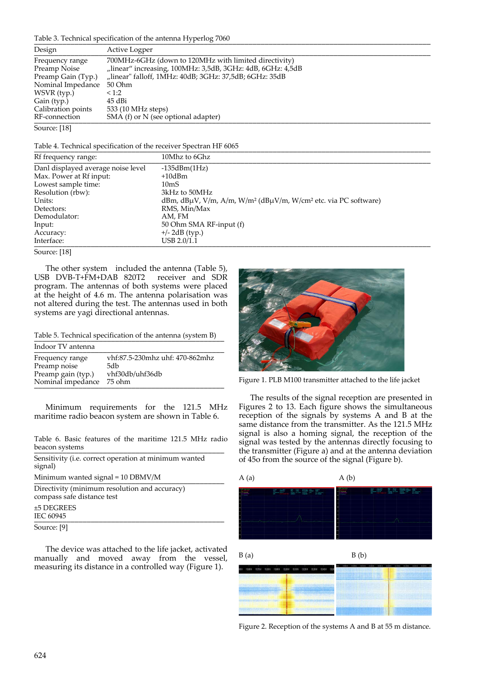# Table 3. Technical specification of the antenna Hyperlog 7060 \_\_\_\_\_\_\_\_\_\_\_\_\_\_\_\_\_\_\_\_\_\_\_\_\_\_\_\_\_\_\_\_\_\_\_\_\_\_\_\_\_\_\_\_\_\_\_\_\_\_\_\_\_\_\_\_\_\_\_\_\_\_\_\_\_\_\_\_\_\_\_\_\_\_\_\_\_\_\_\_\_\_\_\_\_\_\_\_\_\_\_\_\_\_\_\_\_\_

| Design                          | Active Logper                                                                                                       |
|---------------------------------|---------------------------------------------------------------------------------------------------------------------|
| Frequency range<br>Preamp Noise | 700MHz-6GHz (down to 120MHz with limited directivity)<br>"linear" increasing, 100MHz: 3,5dB, 3GHz: 4dB, 6GHz: 4,5dB |
| Preamp Gain (Typ.)              | "linear" falloff, 1MHz: 40dB; 3GHz: 37,5dB; 6GHz: 35dB                                                              |
| Nominal Impedance               | 50 Ohm                                                                                                              |
| WSVR (typ.)                     | <1:2                                                                                                                |
| Gain (typ.)                     | 45 dBi                                                                                                              |
| Calibration points              | 533 (10 MHz steps)                                                                                                  |
| RF-connection                   | SMA (f) or $N$ (see optional adapter)                                                                               |
|                                 |                                                                                                                     |

Source: [18]

Table 4. Technical specification of the receiver Spectran HF 6065

| Rf frequency range:                | 10Mhz to 6Ghz                                                                                      |
|------------------------------------|----------------------------------------------------------------------------------------------------|
| Danl displayed average noise level | $-135dBm(1Hz)$                                                                                     |
| Max. Power at Rf input:            | $+10dBm$                                                                                           |
| Lowest sample time:                | 10mS                                                                                               |
| Resolution (rbw):                  | 3kHz to 50MHz                                                                                      |
| Units:                             | dBm, dB $\mu$ V, V/m, A/m, W/m <sup>2</sup> (dB $\mu$ V/m, W/cm <sup>2</sup> etc. via PC software) |
| Detectors:                         | RMS, Min/Max                                                                                       |
| Demodulator:                       | AM. FM                                                                                             |
| Input:                             | 50 Ohm SMA RF-input (f)                                                                            |
| Accuracy:                          | $+/- 2dB$ (typ.)                                                                                   |
| Interface:                         | USB 2.0/1.1                                                                                        |

Source: [18]

The other system included the antenna (Table 5), USB DVB-T+FM+DAB 820T2 receiver and SDR program. The antennas of both systems were placed at the height of 4.6 m. The antenna polarisation was not altered during the test. The antennas used in both systems are yagi directional antennas.

Table 5. Technical specification of the antenna (system B)

| Indoor TV antenna  |                                 |
|--------------------|---------------------------------|
| Frequency range    | vhf:87.5-230mhz uhf: 470-862mhz |
| Preamp noise       | 5db                             |
| Preamp gain (typ.) | vhf30db/uhf36db                 |
| Nominal impedance  | 75 ohm                          |

Minimum requirements for the 121.5 MHz maritime radio beacon system are shown in Table 6.

Table 6. Basic features of the maritime 121.5 MHz radio beacon systems \_\_\_\_\_\_\_\_\_\_\_\_\_\_\_\_\_\_\_\_\_\_\_\_\_\_\_\_\_\_\_\_\_\_\_\_\_\_\_\_\_\_\_\_\_\_\_

| Sensitivity (i.e. correct operation at minimum wanted<br>signal)            |  |
|-----------------------------------------------------------------------------|--|
| Minimum wanted signal = $10$ DBMV/M                                         |  |
| Directivity (minimum resolution and accuracy)<br>compass safe distance test |  |
| $±5$ DEGREES<br>IEC 60945                                                   |  |
| Source: [9]                                                                 |  |

The device was attached to the life jacket, activated manually and moved away from the vessel, measuring its distance in a controlled way (Figure 1).



Figure 1. PLB M100 transmitter attached to the life jacket

The results of the signal reception are presented in Figures 2 to 13. Each figure shows the simultaneous reception of the signals by systems A and B at the same distance from the transmitter. As the 121.5 MHz signal is also a homing signal, the reception of the signal was tested by the antennas directly focusing to the transmitter (Figure a) and at the antenna deviation of 45o from the source of the signal (Figure b).





Figure 2. Reception of the systems A and B at 55 m distance.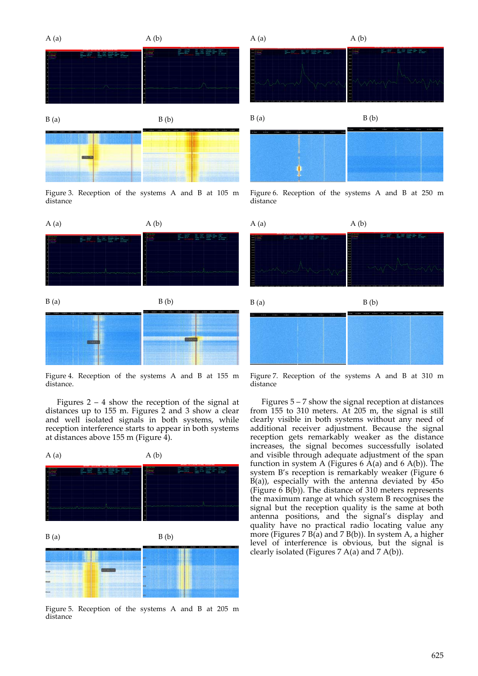

Figure 3. Reception of the systems A and B at 105 m distance





Figure 4. Reception of the systems A and B at 155 m distance.

Figures  $2 - 4$  show the reception of the signal at distances up to 155 m. Figures 2 and 3 show a clear and well isolated signals in both systems, while reception interference starts to appear in both systems at distances above 155 m (Figure 4).

![](_page_4_Figure_6.jpeg)

Figure 5. Reception of the systems A and B at 205 m distance

![](_page_4_Figure_8.jpeg)

![](_page_4_Figure_9.jpeg)

Figure 6. Reception of the systems A and B at 250 m distance

![](_page_4_Figure_11.jpeg)

![](_page_4_Figure_12.jpeg)

Figure 7. Reception of the systems A and B at 310 m distance

Figures 5 – 7 show the signal reception at distances from 155 to 310 meters. At 205 m, the signal is still clearly visible in both systems without any need of additional receiver adjustment. Because the signal reception gets remarkably weaker as the distance increases, the signal becomes successfully isolated and visible through adequate adjustment of the span function in system A (Figures  $6$  A(a) and  $6$  A(b)). The system B's reception is remarkably weaker (Figure 6  $B(a)$ , especially with the antenna deviated by  $450$ (Figure  $6$  B(b)). The distance of 310 meters represents the maximum range at which system B recognises the signal but the reception quality is the same at both antenna positions, and the signal's display and quality have no practical radio locating value any more (Figures  $7 B(a)$  and  $7 B(b)$ ). In system A, a higher level of interference is obvious, but the signal is clearly isolated (Figures 7 A(a) and 7 A(b)).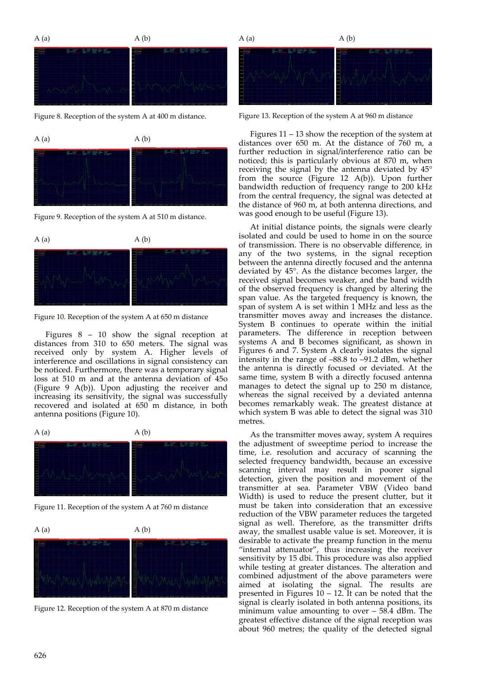![](_page_5_Figure_0.jpeg)

Figure 8. Reception of the system A at 400 m distance.

![](_page_5_Figure_2.jpeg)

Figure 9. Reception of the system A at 510 m distance.

![](_page_5_Figure_4.jpeg)

Figure 10. Reception of the system A at 650 m distance

Figures 8 – 10 show the signal reception at distances from 310 to 650 meters. The signal was received only by system A. Higher levels of interference and oscillations in signal consistency can be noticed. Furthermore, there was a temporary signal loss at 510 m and at the antenna deviation of 45o (Figure 9 A(b)). Upon adjusting the receiver and increasing its sensitivity, the signal was successfully recovered and isolated at 650 m distance, in both antenna positions (Figure 10).

![](_page_5_Figure_7.jpeg)

![](_page_5_Picture_8.jpeg)

Figure 11. Reception of the system A at 760 m distance

![](_page_5_Figure_10.jpeg)

Figure 12. Reception of the system A at 870 m distance

![](_page_5_Figure_12.jpeg)

Figure 13. Reception of the system A at 960 m distance

Figures 11 – 13 show the reception of the system at distances over 650 m. At the distance of 760 m, a further reduction in signal/interference ratio can be noticed; this is particularly obvious at 870 m, when receiving the signal by the antenna deviated by 45° from the source (Figure 12 A(b)). Upon further bandwidth reduction of frequency range to 200 kHz from the central frequency, the signal was detected at the distance of 960 m, at both antenna directions, and was good enough to be useful (Figure 13).

At initial distance points, the signals were clearly isolated and could be used to home in on the source of transmission. There is no observable difference, in any of the two systems, in the signal reception between the antenna directly focused and the antenna deviated by 45°. As the distance becomes larger, the received signal becomes weaker, and the band width of the observed frequency is changed by altering the span value. As the targeted frequency is known, the span of system A is set within 1 MHz and less as the transmitter moves away and increases the distance. System B continues to operate within the initial parameters. The difference in reception between systems A and B becomes significant, as shown in Figures 6 and 7. System A clearly isolates the signal intensity in the range of –88.8 to –91.2 dBm, whether the antenna is directly focused or deviated. At the same time, system B with a directly focused antenna manages to detect the signal up to 250 m distance, whereas the signal received by a deviated antenna becomes remarkably weak. The greatest distance at which system B was able to detect the signal was 310 metres.

As the transmitter moves away, system A requires the adjustment of sweeptime period to increase the time, i.e. resolution and accuracy of scanning the selected frequency bandwidth, because an excessive scanning interval may result in poorer signal detection, given the position and movement of the transmitter at sea. Parameter VBW (Video band Width) is used to reduce the present clutter, but it must be taken into consideration that an excessive reduction of the VBW parameter reduces the targeted signal as well. Therefore, as the transmitter drifts away, the smallest usable value is set. Moreover, it is desirable to activate the preamp function in the menu "internal attenuator", thus increasing the receiver sensitivity by 15 dbi. This procedure was also applied while testing at greater distances. The alteration and combined adjustment of the above parameters were aimed at isolating the signal. The results are presented in Figures  $10 - 12$ . It can be noted that the signal is clearly isolated in both antenna positions, its minimum value amounting to over – 58.4 dBm. The greatest effective distance of the signal reception was about 960 metres; the quality of the detected signal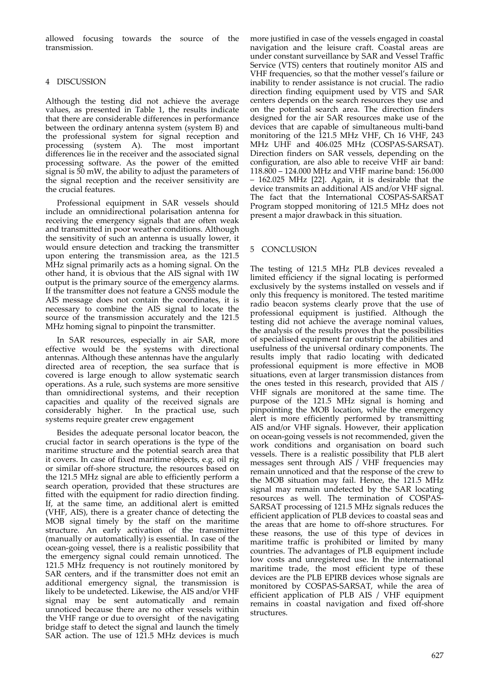allowed focusing towards the source of the transmission.

#### 4 DISCUSSION

Although the testing did not achieve the average values, as presented in Table 1, the results indicate that there are considerable differences in performance between the ordinary antenna system (system B) and the professional system for signal reception and processing (system A). The most important differences lie in the receiver and the associated signal processing software. As the power of the emitted signal is 50 mW, the ability to adjust the parameters of the signal reception and the receiver sensitivity are the crucial features.

Professional equipment in SAR vessels should include an omnidirectional polarisation antenna for receiving the emergency signals that are often weak and transmitted in poor weather conditions. Although the sensitivity of such an antenna is usually lower, it would ensure detection and tracking the transmitter upon entering the transmission area, as the 121.5 MHz signal primarily acts as a homing signal. On the other hand, it is obvious that the AIS signal with 1W output is the primary source of the emergency alarms. If the transmitter does not feature a GNSS module the AIS message does not contain the coordinates, it is necessary to combine the AIS signal to locate the source of the transmission accurately and the 121.5 MHz homing signal to pinpoint the transmitter.

In SAR resources, especially in air SAR, more effective would be the systems with directional antennas. Although these antennas have the angularly directed area of reception, the sea surface that is covered is large enough to allow systematic search operations. As a rule, such systems are more sensitive than omnidirectional systems, and their reception capacities and quality of the received signals are considerably higher. In the practical use, such systems require greater crew engagement

Besides the adequate personal locator beacon, the crucial factor in search operations is the type of the maritime structure and the potential search area that it covers. In case of fixed maritime objects, e.g. oil rig or similar off-shore structure, the resources based on the 121.5 MHz signal are able to efficiently perform a search operation, provided that these structures are fitted with the equipment for radio direction finding. If, at the same time, an additional alert is emitted (VHF, AIS), there is a greater chance of detecting the MOB signal timely by the staff on the maritime structure. An early activation of the transmitter (manually or automatically) is essential. In case of the ocean-going vessel, there is a realistic possibility that the emergency signal could remain unnoticed. The 121.5 MHz frequency is not routinely monitored by SAR centers, and if the transmitter does not emit an additional emergency signal, the transmission is likely to be undetected. Likewise, the AIS and/or VHF signal may be sent automatically and remain unnoticed because there are no other vessels within the VHF range or due to oversight of the navigating bridge staff to detect the signal and launch the timely SAR action. The use of 121.5 MHz devices is much

more justified in case of the vessels engaged in coastal navigation and the leisure craft. Coastal areas are under constant surveillance by SAR and Vessel Traffic Service (VTS) centers that routinely monitor AIS and VHF frequencies, so that the mother vessel's failure or inability to render assistance is not crucial. The radio direction finding equipment used by VTS and SAR centers depends on the search resources they use and on the potential search area. The direction finders designed for the air SAR resources make use of the devices that are capable of simultaneous multi-band monitoring of the 121.5 MHz VHF, Ch 16 VHF, 243 MHz UHF and 406.025 MHz (COSPAS-SARSAT). Direction finders on SAR vessels, depending on the configuration, are also able to receive VHF air band: 118.800 – 124.000 MHz and VHF marine band: 156.000 – 162.025 MHz [22]. Again, it is desirable that the device transmits an additional AIS and/or VHF signal. The fact that the International COSPAS-SARSAT Program stopped monitoring of 121.5 MHz does not present a major drawback in this situation.

### 5 CONCLUSION

The testing of 121.5 MHz PLB devices revealed a limited efficiency if the signal locating is performed exclusively by the systems installed on vessels and if only this frequency is monitored. The tested maritime radio beacon systems clearly prove that the use of professional equipment is justified. Although the testing did not achieve the average nominal values, the analysis of the results proves that the possibilities of specialised equipment far outstrip the abilities and usefulness of the universal ordinary components. The results imply that radio locating with dedicated professional equipment is more effective in MOB situations, even at larger transmission distances from the ones tested in this research, provided that AIS / VHF signals are monitored at the same time. The purpose of the 121.5 MHz signal is homing and pinpointing the MOB location, while the emergency alert is more efficiently performed by transmitting AIS and/or VHF signals. However, their application on ocean-going vessels is not recommended, given the work conditions and organisation on board such vessels. There is a realistic possibility that PLB alert messages sent through AIS / VHF frequencies may remain unnoticed and that the response of the crew to the MOB situation may fail. Hence, the 121.5 MHz signal may remain undetected by the SAR locating resources as well. The termination of COSPAS-SARSAT processing of 121.5 MHz signals reduces the efficient application of PLB devices to coastal seas and the areas that are home to off-shore structures. For these reasons, the use of this type of devices in maritime traffic is prohibited or limited by many countries. The advantages of PLB equipment include low costs and unregistered use. In the international maritime trade, the most efficient type of these devices are the PLB EPIRB devices whose signals are monitored by COSPAS-SARSAT, while the area of efficient application of PLB AIS / VHF equipment remains in coastal navigation and fixed off-shore structures.